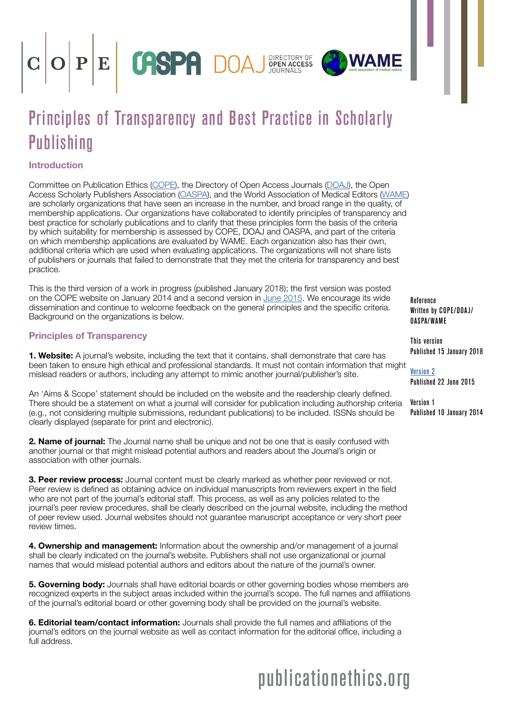

# Principles of Transparency and Best Practice in Scholarly **Publishing**

### Introduction

Committee on Publication Ethics [\(C](https://publicationethics.org/)OPE), the Directory of Open Access Journals ([DOAJ](https://doaj.org/)), the Open Access Scholarly Publishers Association [\(OASPA\)](https://oaspa.org), and the World Association of Medical Editors ([WAME](http://www.wame.org/)) are scholarly organizations that have seen an increase in the number, and broad range in the quality, of membership applications. Our organizations have collaborated to identify principles of transparency and best practice for scholarly publications and to clarify that these principles form the basis of the criteria by which suitability for membership is assessed by COPE, DOAJ and OASPA, and part of the criteria on which membership applications are evaluated by WAME. Each organization also has their own, additional criteria which are used when evaluating applications. The organizations will not share lists of publishers or journals that failed to demonstrate that they met the criteria for transparency and best practice.

This is the third version of a work in progress (published January 2018); the first version was posted on the COPE website on January 2014 and a second version in [June 2015.](https://publicationethics.org/files/Principles_of_Transparency_and_Best_Practice_in_Scholarly_Publishingv2.pdf) We encourage its wide dissemination and continue to welcome feedback on the general principles and the specific criteria. Background on the organizations is below.

#### Principles of Transparency

**1. Website:** A journal's website, including the text that it contains, shall demonstrate that care has been taken to ensure high ethical and professional standards. It must not contain information that might mislead readers or authors, including any attempt to mimic another journal/publisher's site.

An 'Aims & Scope' statement should be included on the website and the readership clearly defined. There should be a statement on what a journal will consider for publication including authorship criteria (e.g., not considering multiple submissions, redundant publications) to be included. ISSNs should be clearly displayed (separate for print and electronic).

2. Name of journal: The Journal name shall be unique and not be one that is easily confused with another journal or that might mislead potential authors and readers about the Journal's origin or association with other journals.

3. Peer review process: Journal content must be clearly marked as whether peer reviewed or not. Peer review is defined as obtaining advice on individual manuscripts from reviewers expert in the field who are not part of the journal's editorial staff. This process, as well as any policies related to the journal's peer review procedures, shall be clearly described on the journal website, including the method of peer review used. Journal websites should not guarantee manuscript acceptance or very short peer review times.

4. Ownership and management: Information about the ownership and/or management of a journal shall be clearly indicated on the journal's website. Publishers shall not use organizational or journal names that would mislead potential authors and editors about the nature of the journal's owner.

**5. Governing body:** Journals shall have editorial boards or other governing bodies whose members are recognized experts in the subject areas included within the journal's scope. The full names and affiliations of the journal's editorial board or other governing body shall be provided on the journal's website.

6. Editorial team/contact information: Journals shall provide the full names and affiliations of the journal's editors on the journal website as well as contact information for the editorial office, including a full address.

publicationethics.org

Reference Written by COPE/DOAJ/ OASPA/WAME

This version Published 15 January 2018

[Version 2](https://publicationethics.org/files/Principles_of_Transparency_and_Best_Practice_in_Scholarly_Publishingv2.pdf)

**WAME** 

Published 22 June 2015

Version 1 Published 10 January 2014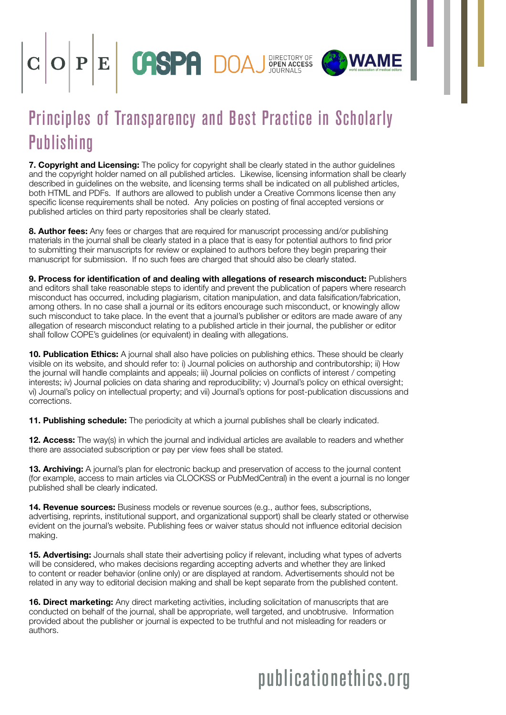



## Principles of Transparency and Best Practice in Scholarly **Publishing**

7. Copyright and Licensing: The policy for copyright shall be clearly stated in the author guidelines and the copyright holder named on all published articles. Likewise, licensing information shall be clearly described in guidelines on the website, and licensing terms shall be indicated on all published articles, both HTML and PDFs. If authors are allowed to publish under a Creative Commons license then any specific license requirements shall be noted. Any policies on posting of final accepted versions or published articles on third party repositories shall be clearly stated.

8. Author fees: Any fees or charges that are required for manuscript processing and/or publishing materials in the journal shall be clearly stated in a place that is easy for potential authors to find prior to submitting their manuscripts for review or explained to authors before they begin preparing their manuscript for submission. If no such fees are charged that should also be clearly stated.

9. Process for identification of and dealing with allegations of research misconduct: Publishers and editors shall take reasonable steps to identify and prevent the publication of papers where research misconduct has occurred, including plagiarism, citation manipulation, and data falsification/fabrication, among others. In no case shall a journal or its editors encourage such misconduct, or knowingly allow such misconduct to take place. In the event that a journal's publisher or editors are made aware of any allegation of research misconduct relating to a published article in their journal, the publisher or editor shall follow COPE's guidelines (or equivalent) in dealing with allegations.

10. Publication Ethics: A journal shall also have policies on publishing ethics. These should be clearly visible on its website, and should refer to: i) Journal policies on authorship and contributorship; ii) How the journal will handle complaints and appeals; iii) Journal policies on conflicts of interest / competing interests; iv) Journal policies on data sharing and reproducibility; v) Journal's policy on ethical oversight; vi) Journal's policy on intellectual property; and vii) Journal's options for post-publication discussions and corrections.

11. Publishing schedule: The periodicity at which a journal publishes shall be clearly indicated.

12. Access: The way(s) in which the journal and individual articles are available to readers and whether there are associated subscription or pay per view fees shall be stated.

13. Archiving: A journal's plan for electronic backup and preservation of access to the journal content (for example, access to main articles via CLOCKSS or PubMedCentral) in the event a journal is no longer published shall be clearly indicated.

**14. Revenue sources:** Business models or revenue sources (e.g., author fees, subscriptions, advertising, reprints, institutional support, and organizational support) shall be clearly stated or otherwise evident on the journal's website. Publishing fees or waiver status should not influence editorial decision making.

**15. Advertising:** Journals shall state their advertising policy if relevant, including what types of adverts will be considered, who makes decisions regarding accepting adverts and whether they are linked to content or reader behavior (online only) or are displayed at random. Advertisements should not be related in any way to editorial decision making and shall be kept separate from the published content.

**16. Direct marketing:** Any direct marketing activities, including solicitation of manuscripts that are conducted on behalf of the journal, shall be appropriate, well targeted, and unobtrusive. Information provided about the publisher or journal is expected to be truthful and not misleading for readers or authors.

# publicationethics.org